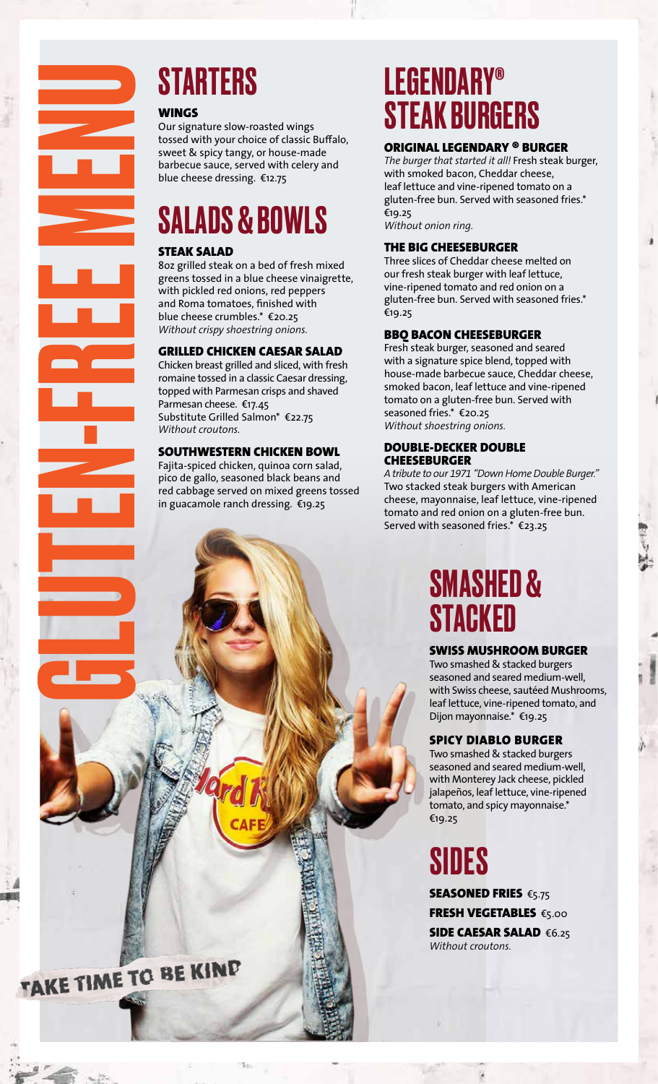

#### WINGS

Our signature slow-roasted wings tossed with your choice of classic Buffalo, sweet & spicy tangy, or house-made barbecue sauce, served with celery and blue cheese dressing. €12.75

## SALADS & BOWLS

#### STEAK SALAD

8oz grilled steak on a bed of fresh mixed greens tossed in a blue cheese vinaigrette, with pickled red onions, red peppers and Roma tomatoes, finished with blue cheese crumbles.\* €20.25 *Without crispy shoestring onions.*

#### GRILLED CHICKEN CAESAR SALAD

Chicken breast grilled and sliced, with fresh romaine tossed in a classic Caesar dressing, topped with Parmesan crisps and shaved Parmesan cheese. €17.45 Substitute Grilled Salmon\* €22.75 *Without croutons.* 

#### SOUTHWESTERN CHICKEN BOWL

Fajita-spiced chicken, quinoa corn salad, pico de gallo, seasoned black beans and red cabbage served on mixed greens tossed in guacamole ranch dressing. €19.25

## LEGENDARY® STEAK BURGERS

#### ORIGINAL LEGENDARY ® BURGER

*The burger that started it all!* Fresh steak burger, with smoked bacon, Cheddar cheese, leaf lettuce and vine-ripened tomato on a gluten-free bun. Served with seasoned fries.\* €19.25 *Without onion ring.*

#### THE BIG CHEESEBURGER

Three slices of Cheddar cheese melted on our fresh steak burger with leaf lettuce, vine-ripened tomato and red onion on a gluten-free bun. Served with seasoned fries.\* €19.25

#### BBQ BACON CHEESEBURGER

Fresh steak burger, seasoned and seared with a signature spice blend, topped with house-made barbecue sauce, Cheddar cheese, smoked bacon, leaf lettuce and vine-ripened tomato on a gluten-free bun. Served with seasoned fries.\* €20.25 *Without shoestring onions.*

#### DOUBLE-DECKER DOUBLE **CHEESEBURGER**

*A tribute to our 1971 "Down Home Double Burger."*  Two stacked steak burgers with American cheese, mayonnaise, leaf lettuce, vine-ripened tomato and red onion on a gluten-free bun. Served with seasoned fries.\* €23.25

## SMASHED & **STACKED**

#### SWISS MUSHROOM BURGER

Two smashed & stacked burgers seasoned and seared medium-well, with Swiss cheese, sautéed Mushrooms, leaf lettuce, vine-ripened tomato, and Dijon mayonnaise.\* €19.25

#### SPICY DIABLO BURGER

Two smashed & stacked burgers seasoned and seared medium-well, with Monterey Jack cheese, pickled jalapeños, leaf lettuce, vine-ripened tomato, and spicy mayonnaise.\* €19.25

## SIDES

*Without croutons.*

SEASONED FRIES €5.75 FRESH VEGETABLES €5.00 SIDE CAESAR SALAD €6.25

AKE TIME TO BE KIND